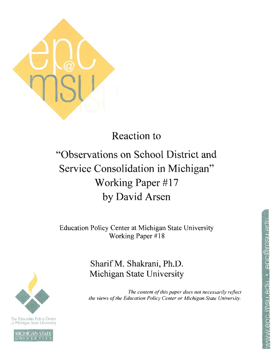

## **Reaction to**

# "Observations on School District and Service Consolidation in Michigan" Working Paper #17 by David Arsen

**Education Policy Center at Michigan State University** Working Paper #18

### Sharif M. Shakrani, Ph.D. Michigan State University

The content of this paper does not necessarily reflect the views of the Education Policy Center or Michigan State University.



The Education Policy Center at Michigan State University

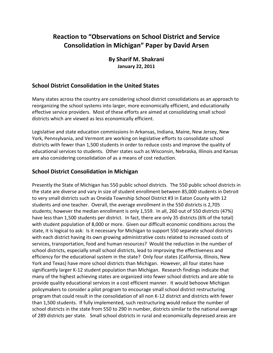### **Reaction to "Observations on School District and Service Consolidation in Michigan" Paper by David Arsen**

#### **By Sharif M. Shakrani January 22, 2011**

#### **School District Consolidation in the United States**

Many states across the country are considering school district consolidations as an approach to reorganizing the school systems into larger, more economically efficient, and educationally effective service providers. Most of these efforts are aimed at consolidating small school districts which are viewed as less economically efficient.

Legislative and state education commissions In Arkansas, Indiana, Maine, New Jersey, New York, Pennsylvania, and Vermont are working on legislative efforts to consolidate school districts with fewer than 1,500 students in order to reduce costs and improve the quality of educational services to students. Other states such as Wisconsin, Nebraska, Illinois and Kansas are also considering consolidation of as a means of cost reduction.

#### **School District Consolidation in Michigan**

Presently the State of Michigan has 550 public school districts. The 550 public school districts in the state are diverse and vary in size of student enrollment between 85,000 students in Detroit to very small districts such as Oneida Township School District #3 in Eaton County with 12 students and one teacher. Overall, the average enrollment in the 550 districts is 2,705 students; however the median enrollment is only 1,559. In all, 260 out of 550 districts (47%) have less than 1,500 students per district. In fact, there are only 35 districts (6% of the total) with student population of 8,000 or more. Given our difficult economic conditions across the state, it is logical to ask: Is it necessary for Michigan to support 550 separate school districts with each district having its own growing administrative costs related to increased costs of services, transportation, food and human resources? Would the reduction in the number of school districts, especially small school districts, lead to improving the effectiveness and efficiency for the educational system in the state? Only four states (California, Illinois, New York and Texas) have more school districts than Michigan. However, all four states have significantly larger K-12 student population than Michigan. Research findings indicate that many of the highest achieving states are organized into fewer school districts and are able to provide quality educational services in a cost efficient manner. It would behoove Michigan policymakers to consider a pilot program to encourage small school district restructuring program that could result in the consolidation of all non K-12 district and districts with fewer than 1,500 students. If fully implemented, such restructuring would reduce the number of school districts in the state from 550 to 290 in number, districts similar to the national average of 289 districts per state. Small school districts in rural and economically depressed areas are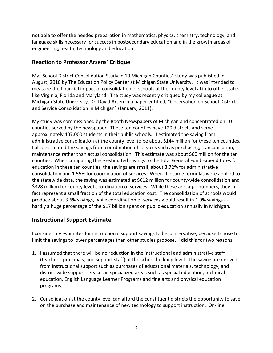not able to offer the needed preparation in mathematics, physics, chemistry, technology, and language skills necessary for success in postsecondary education and in the growth areas of engineering, health, technology and education.

#### **Reaction to Professor Arsens' Critique**

My "School District Consolidation Study in 10 Michigan Counties" study was published in August, 2010 by The Education Policy Center at Michigan State University. It was intended to measure the financial impact of consolidation of schools at the county level akin to other states like Virginia, Florida and Maryland. The study was recently critiqued by my colleague at Michigan State University, Dr. David Arsen in a paper entitled, "Observation on School District and Service Consolidation in Michigan" (January, 2011).

My study was commissioned by the Booth Newspapers of Michigan and concentrated on 10 counties served by the newspaper. These ten counties have 120 districts and serve approximately 407,000 students in their public schools. I estimated the saving from administrative consolidation at the county level to be about \$144 million for these ten counties. I also estimated the savings from coordination of services such as purchasing, transportation, maintenance rather than actual consolidation. This estimate was about \$60 million for the ten counties. When comparing these estimated savings to the total General Fund Expenditures for education in these ten counties, the savings are small, about 3.72% for administrative consolidation and 1.55% for coordination of services. When the same formulas were applied to the statewide data, the saving was estimated at \$612 million for county-wide consolidation and \$328 million for county level coordination of services. While these are large numbers, they in fact represent a small fraction of the total education cost. The consolidation of schools would produce about 3.6% savings, while coordination of services would result in 1.9% savings - hardly a huge percentage of the \$17 billion spent on public education annually in Michigan.

#### **Instructional Support Estimate**

I consider my estimates for instructional support savings to be conservative, because I chose to limit the savings to lower percentages than other studies propose. I did this for two reasons:

- 1. I assumed that there will be no reduction in the instructional and administrative staff (teachers, principals, and support staff) at the school building level. The saving are derived from instructional support such as purchases of educational materials, technology, and district wide support services in specialized areas such as special education, technical education, English Language Learner Programs and fine arts and physical education programs.
- 2. Consolidation at the county level can afford the constituent districts the opportunity to save on the purchase and maintenance of new technology to support instruction. On-line